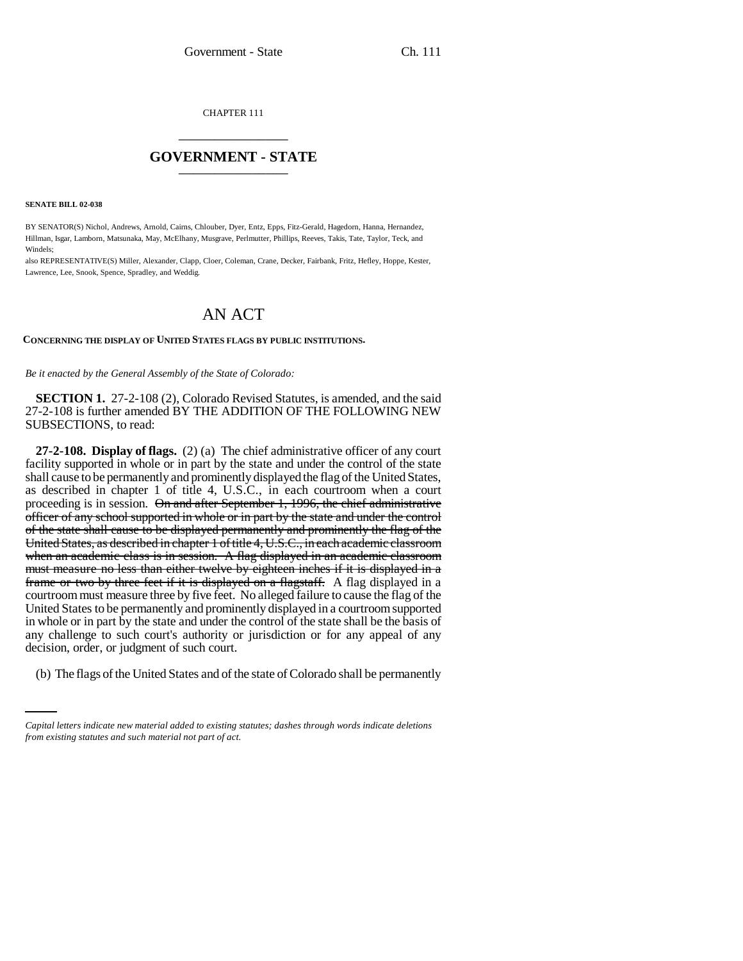CHAPTER 111 \_\_\_\_\_\_\_\_\_\_\_\_\_\_\_

## **GOVERNMENT - STATE** \_\_\_\_\_\_\_\_\_\_\_\_\_\_\_

**SENATE BILL 02-038**

BY SENATOR(S) Nichol, Andrews, Arnold, Cairns, Chlouber, Dyer, Entz, Epps, Fitz-Gerald, Hagedorn, Hanna, Hernandez, Hillman, Isgar, Lamborn, Matsunaka, May, McElhany, Musgrave, Perlmutter, Phillips, Reeves, Takis, Tate, Taylor, Teck, and Windels;

also REPRESENTATIVE(S) Miller, Alexander, Clapp, Cloer, Coleman, Crane, Decker, Fairbank, Fritz, Hefley, Hoppe, Kester, Lawrence, Lee, Snook, Spence, Spradley, and Weddig.

## AN ACT

## **CONCERNING THE DISPLAY OF UNITED STATES FLAGS BY PUBLIC INSTITUTIONS.**

*Be it enacted by the General Assembly of the State of Colorado:*

**SECTION 1.** 27-2-108 (2), Colorado Revised Statutes, is amended, and the said 27-2-108 is further amended BY THE ADDITION OF THE FOLLOWING NEW SUBSECTIONS, to read:

decision, order, or judgment of such court. **27-2-108. Display of flags.** (2) (a) The chief administrative officer of any court facility supported in whole or in part by the state and under the control of the state shall cause to be permanently and prominently displayed the flag of the United States, as described in chapter 1 of title 4, U.S.C., in each courtroom when a court proceeding is in session. On and after September 1, 1996, the chief administrative officer of any school supported in whole or in part by the state and under the control of the state shall cause to be displayed permanently and prominently the flag of the United States, as described in chapter 1 of title 4, U.S.C., in each academic classroom when an academic class is in session. A flag displayed in an academic classroom must measure no less than either twelve by eighteen inches if it is displayed in a frame or two by three feet if it is displayed on a flagstaff. A flag displayed in a courtroom must measure three by five feet. No alleged failure to cause the flag of the United States to be permanently and prominently displayed in a courtroom supported in whole or in part by the state and under the control of the state shall be the basis of any challenge to such court's authority or jurisdiction or for any appeal of any

(b) The flags of the United States and of the state of Colorado shall be permanently

*Capital letters indicate new material added to existing statutes; dashes through words indicate deletions from existing statutes and such material not part of act.*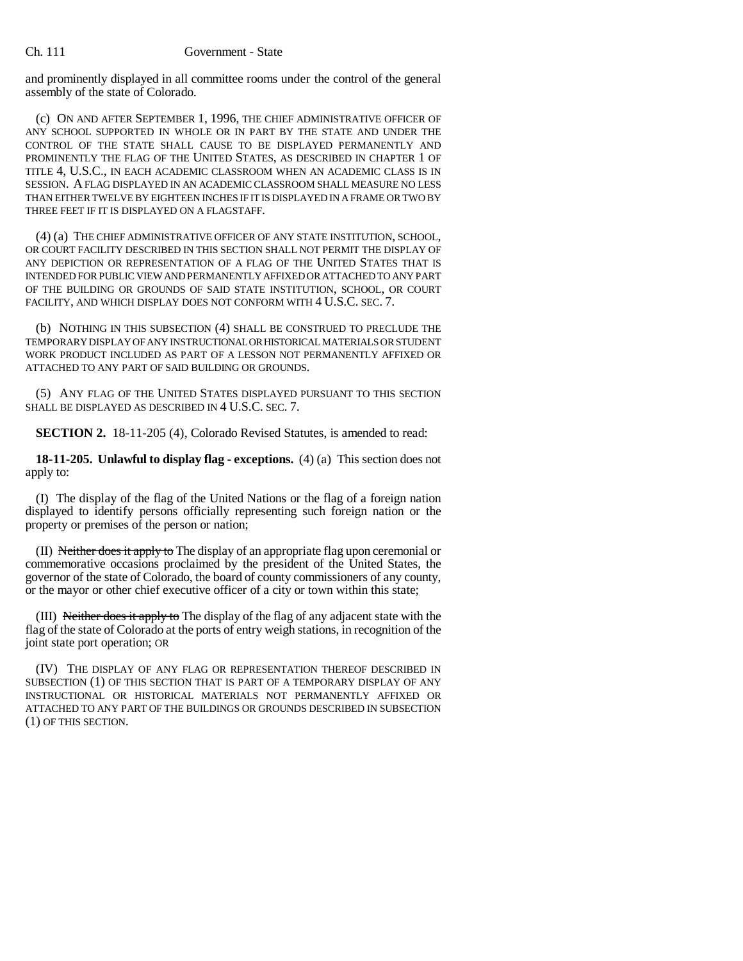and prominently displayed in all committee rooms under the control of the general assembly of the state of Colorado.

(c) ON AND AFTER SEPTEMBER 1, 1996, THE CHIEF ADMINISTRATIVE OFFICER OF ANY SCHOOL SUPPORTED IN WHOLE OR IN PART BY THE STATE AND UNDER THE CONTROL OF THE STATE SHALL CAUSE TO BE DISPLAYED PERMANENTLY AND PROMINENTLY THE FLAG OF THE UNITED STATES, AS DESCRIBED IN CHAPTER 1 OF TITLE 4, U.S.C., IN EACH ACADEMIC CLASSROOM WHEN AN ACADEMIC CLASS IS IN SESSION. A FLAG DISPLAYED IN AN ACADEMIC CLASSROOM SHALL MEASURE NO LESS THAN EITHER TWELVE BY EIGHTEEN INCHES IF IT IS DISPLAYED IN A FRAME OR TWO BY THREE FEET IF IT IS DISPLAYED ON A FLAGSTAFF.

(4) (a) THE CHIEF ADMINISTRATIVE OFFICER OF ANY STATE INSTITUTION, SCHOOL, OR COURT FACILITY DESCRIBED IN THIS SECTION SHALL NOT PERMIT THE DISPLAY OF ANY DEPICTION OR REPRESENTATION OF A FLAG OF THE UNITED STATES THAT IS INTENDED FOR PUBLIC VIEW AND PERMANENTLY AFFIXED OR ATTACHED TO ANY PART OF THE BUILDING OR GROUNDS OF SAID STATE INSTITUTION, SCHOOL, OR COURT FACILITY, AND WHICH DISPLAY DOES NOT CONFORM WITH 4 U.S.C. SEC. 7.

(b) NOTHING IN THIS SUBSECTION (4) SHALL BE CONSTRUED TO PRECLUDE THE TEMPORARY DISPLAY OF ANY INSTRUCTIONAL OR HISTORICAL MATERIALS OR STUDENT WORK PRODUCT INCLUDED AS PART OF A LESSON NOT PERMANENTLY AFFIXED OR ATTACHED TO ANY PART OF SAID BUILDING OR GROUNDS.

(5) ANY FLAG OF THE UNITED STATES DISPLAYED PURSUANT TO THIS SECTION SHALL BE DISPLAYED AS DESCRIBED IN 4 U.S.C. SEC. 7.

**SECTION 2.** 18-11-205 (4), Colorado Revised Statutes, is amended to read:

**18-11-205. Unlawful to display flag - exceptions.** (4) (a) This section does not apply to:

(I) The display of the flag of the United Nations or the flag of a foreign nation displayed to identify persons officially representing such foreign nation or the property or premises of the person or nation;

(II) Neither does it apply to The display of an appropriate flag upon ceremonial or commemorative occasions proclaimed by the president of the United States, the governor of the state of Colorado, the board of county commissioners of any county, or the mayor or other chief executive officer of a city or town within this state;

(III) Neither does it apply to The display of the flag of any adjacent state with the flag of the state of Colorado at the ports of entry weigh stations, in recognition of the joint state port operation; OR

(IV) THE DISPLAY OF ANY FLAG OR REPRESENTATION THEREOF DESCRIBED IN SUBSECTION (1) OF THIS SECTION THAT IS PART OF A TEMPORARY DISPLAY OF ANY INSTRUCTIONAL OR HISTORICAL MATERIALS NOT PERMANENTLY AFFIXED OR ATTACHED TO ANY PART OF THE BUILDINGS OR GROUNDS DESCRIBED IN SUBSECTION (1) OF THIS SECTION.